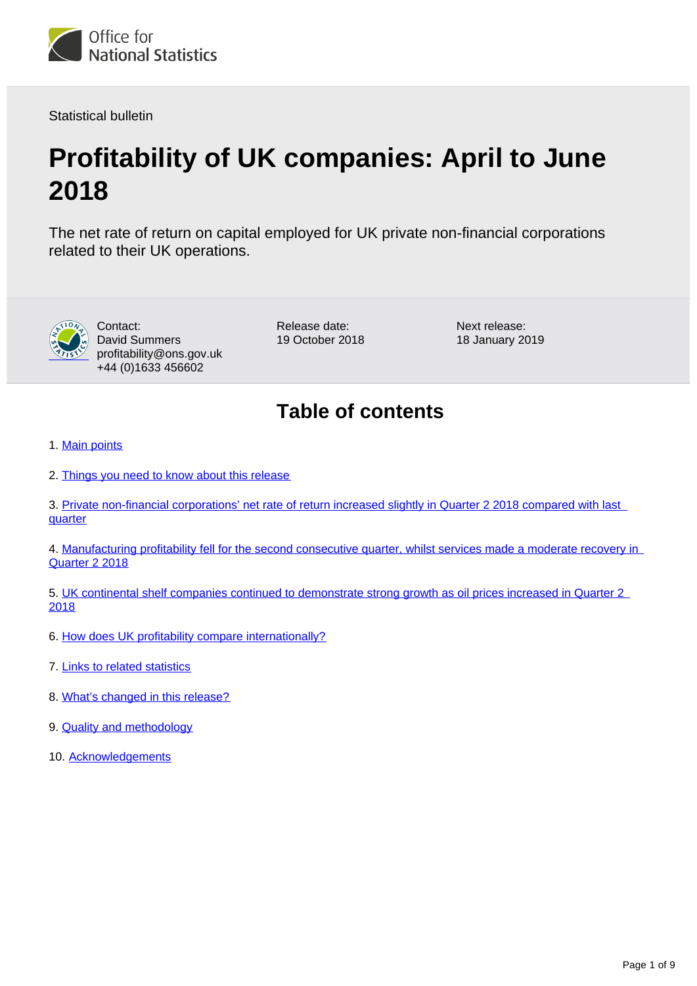

Statistical bulletin

# **Profitability of UK companies: April to June 2018**

The net rate of return on capital employed for UK private non-financial corporations related to their UK operations.



Contact: David Summers profitability@ons.gov.uk +44 (0)1633 456602

Release date: 19 October 2018 Next release: 18 January 2019

## **Table of contents**

- 1. [Main points](#page-1-0)
- 2. [Things you need to know about this release](#page-1-1)
- 3. Private non-financial corporations' net rate of return increased slightly in Quarter 2 2018 compared with last **[quarter](#page-2-0)**
- 4. [Manufacturing profitability fell for the second consecutive quarter, whilst services made a moderate recovery in](#page-3-0)  [Quarter 2 2018](#page-3-0)
- 5. [UK continental shelf companies continued to demonstrate strong growth as oil prices increased in Quarter 2](#page-4-0)  [2018](#page-4-0)
- 6. [How does UK profitability compare internationally?](#page-5-0)
- 7. [Links to related statistics](#page-6-0)
- 8. [What's changed in this release?](#page-7-0)
- 9. **[Quality and methodology](#page-7-1)**
- 10. [Acknowledgements](#page-8-0)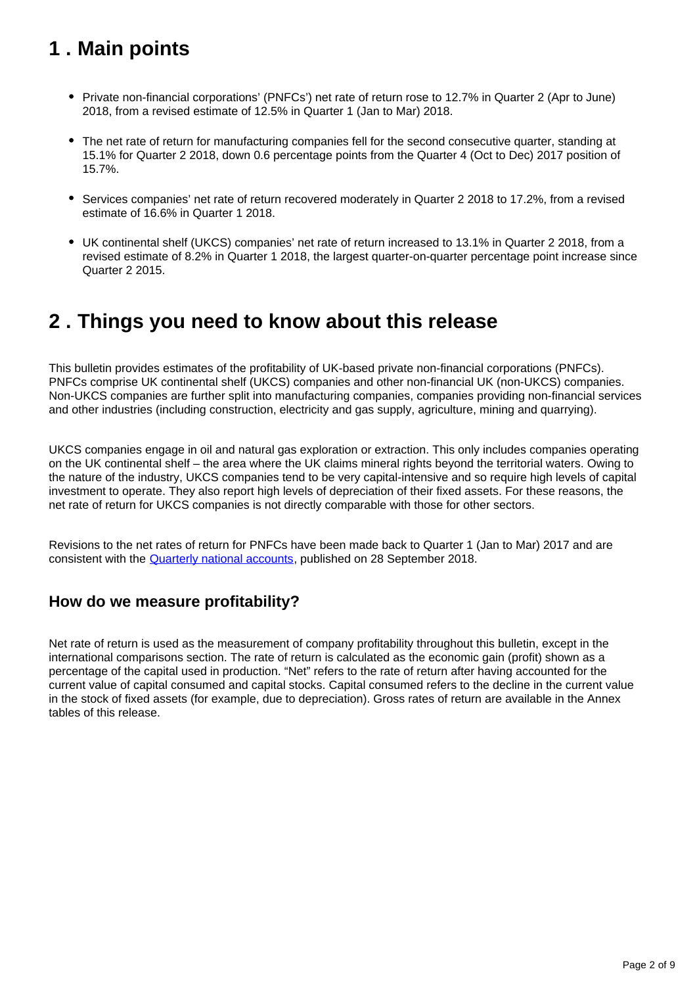## <span id="page-1-0"></span>**1 . Main points**

- Private non-financial corporations' (PNFCs') net rate of return rose to 12.7% in Quarter 2 (Apr to June) 2018, from a revised estimate of 12.5% in Quarter 1 (Jan to Mar) 2018.
- The net rate of return for manufacturing companies fell for the second consecutive quarter, standing at 15.1% for Quarter 2 2018, down 0.6 percentage points from the Quarter 4 (Oct to Dec) 2017 position of 15.7%.
- Services companies' net rate of return recovered moderately in Quarter 2 2018 to 17.2%, from a revised estimate of 16.6% in Quarter 1 2018.
- UK continental shelf (UKCS) companies' net rate of return increased to 13.1% in Quarter 2 2018, from a revised estimate of 8.2% in Quarter 1 2018, the largest quarter-on-quarter percentage point increase since Quarter 2 2015.

## <span id="page-1-1"></span>**2 . Things you need to know about this release**

This bulletin provides estimates of the profitability of UK-based private non-financial corporations (PNFCs). PNFCs comprise UK continental shelf (UKCS) companies and other non-financial UK (non-UKCS) companies. Non-UKCS companies are further split into manufacturing companies, companies providing non-financial services and other industries (including construction, electricity and gas supply, agriculture, mining and quarrying).

UKCS companies engage in oil and natural gas exploration or extraction. This only includes companies operating on the UK continental shelf – the area where the UK claims mineral rights beyond the territorial waters. Owing to the nature of the industry, UKCS companies tend to be very capital-intensive and so require high levels of capital investment to operate. They also report high levels of depreciation of their fixed assets. For these reasons, the net rate of return for UKCS companies is not directly comparable with those for other sectors.

Revisions to the net rates of return for PNFCs have been made back to Quarter 1 (Jan to Mar) 2017 and are consistent with the [Quarterly national accounts](https://www.ons.gov.uk/economy/grossdomesticproductgdp/bulletins/quarterlynationalaccounts/januarytomarch2018), published on 28 September 2018.

#### **How do we measure profitability?**

Net rate of return is used as the measurement of company profitability throughout this bulletin, except in the international comparisons section. The rate of return is calculated as the economic gain (profit) shown as a percentage of the capital used in production. "Net" refers to the rate of return after having accounted for the current value of capital consumed and capital stocks. Capital consumed refers to the decline in the current value in the stock of fixed assets (for example, due to depreciation). Gross rates of return are available in the Annex tables of this release.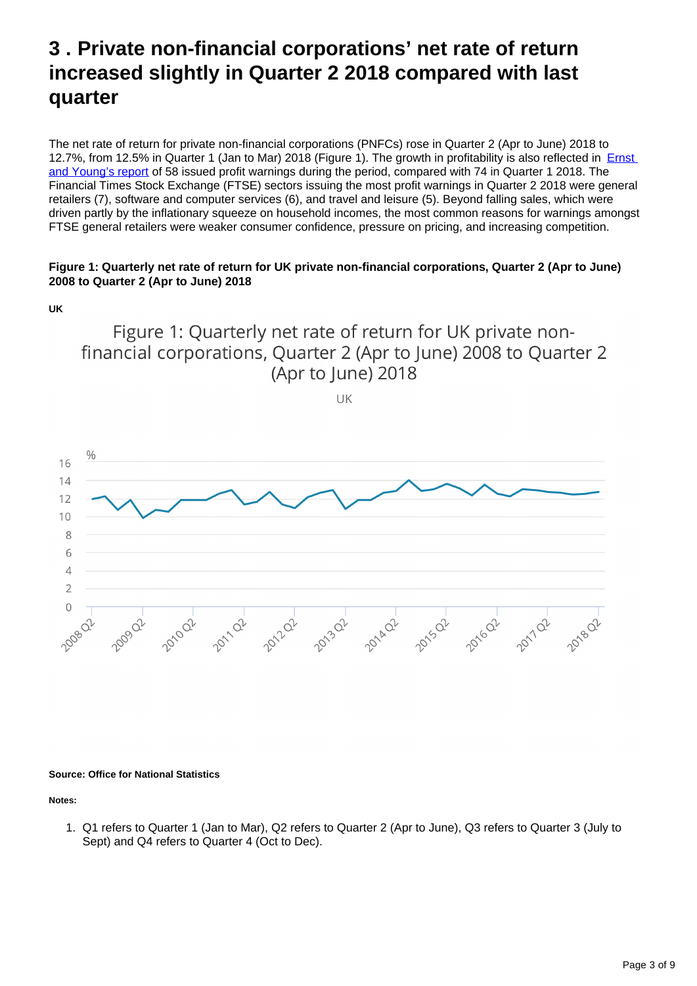## <span id="page-2-0"></span>**3 . Private non-financial corporations' net rate of return increased slightly in Quarter 2 2018 compared with last quarter**

The net rate of return for private non-financial corporations (PNFCs) rose in Quarter 2 (Apr to June) 2018 to 12.7%, from 12.5% in Quarter 1 (Jan to Mar) 2018 (Figure 1). The growth in profitability is also reflected in **Ernst** [and Young's report](https://www.ey.com/Publication/vwLUAssetsPI/ey-profit-warnings-q2-2018/$FILE/ey-profit-warnings-q2-2018.pdf) of 58 issued profit warnings during the period, compared with 74 in Quarter 1 2018. The Financial Times Stock Exchange (FTSE) sectors issuing the most profit warnings in Quarter 2 2018 were general retailers (7), software and computer services (6), and travel and leisure (5). Beyond falling sales, which were driven partly by the inflationary squeeze on household incomes, the most common reasons for warnings amongst FTSE general retailers were weaker consumer confidence, pressure on pricing, and increasing competition.

#### **Figure 1: Quarterly net rate of return for UK private non-financial corporations, Quarter 2 (Apr to June) 2008 to Quarter 2 (Apr to June) 2018**

Figure 1: Quarterly net rate of return for UK private nonfinancial corporations, Quarter 2 (Apr to June) 2008 to Quarter 2 (Apr to June) 2018

UK



#### **Source: Office for National Statistics**

**Notes:**

1. Q1 refers to Quarter 1 (Jan to Mar), Q2 refers to Quarter 2 (Apr to June), Q3 refers to Quarter 3 (July to Sept) and Q4 refers to Quarter 4 (Oct to Dec).

**UK**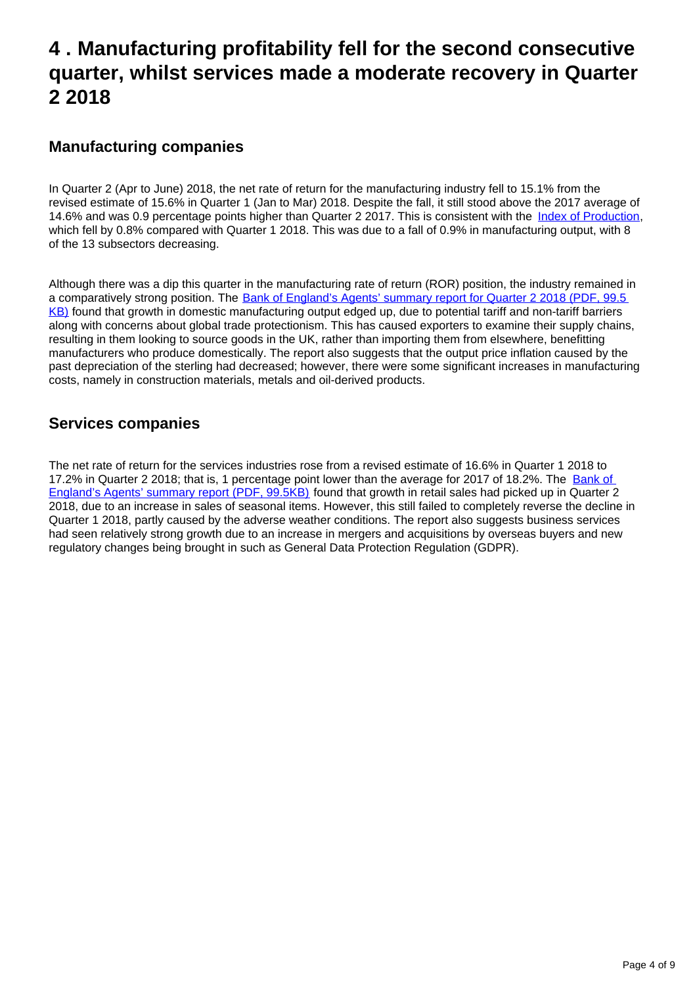### <span id="page-3-0"></span>**4 . Manufacturing profitability fell for the second consecutive quarter, whilst services made a moderate recovery in Quarter 2 2018**

#### **Manufacturing companies**

In Quarter 2 (Apr to June) 2018, the net rate of return for the manufacturing industry fell to 15.1% from the revised estimate of 15.6% in Quarter 1 (Jan to Mar) 2018. Despite the fall, it still stood above the 2017 average of 14.6% and was 0.9 percentage points higher than Quarter 2 2017. This is consistent with the [Index of Production,](https://www.ons.gov.uk/economy/economicoutputandproductivity/output/bulletins/indexofproduction/june2018) which fell by 0.8% compared with Quarter 1 2018. This was due to a fall of 0.9% in manufacturing output, with 8 of the 13 subsectors decreasing.

Although there was a dip this quarter in the manufacturing rate of return (ROR) position, the industry remained in a comparatively strong position. The [Bank of England's Agents' summary report for Quarter 2 2018 \(PDF, 99.5](https://www.bankofengland.co.uk/-/media/boe/files/agents-summary/2018/2018-q2.pdf?la=en&hash=9E628381B0D73A1C52DA3299249E8AE70941485A) [KB\)](https://www.bankofengland.co.uk/-/media/boe/files/agents-summary/2018/2018-q2.pdf?la=en&hash=9E628381B0D73A1C52DA3299249E8AE70941485A) found that growth in domestic manufacturing output edged up, due to potential tariff and non-tariff barriers along with concerns about global trade protectionism. This has caused exporters to examine their supply chains, resulting in them looking to source goods in the UK, rather than importing them from elsewhere, benefitting manufacturers who produce domestically. The report also suggests that the output price inflation caused by the past depreciation of the sterling had decreased; however, there were some significant increases in manufacturing costs, namely in construction materials, metals and oil-derived products.

#### **Services companies**

The net rate of return for the services industries rose from a revised estimate of 16.6% in Quarter 1 2018 to 17.2% in Quarter 2 2018; that is, 1 percentage point lower than the average for 2017 of 18.2%. The Bank of [England's Agents' summary report \(PDF, 99.5KB\)](https://www.bankofengland.co.uk/-/media/boe/files/agents-summary/2018/2018-q2.pdf?la=en&hash=9E628381B0D73A1C52DA3299249E8AE70941485A) found that growth in retail sales had picked up in Quarter 2 2018, due to an increase in sales of seasonal items. However, this still failed to completely reverse the decline in Quarter 1 2018, partly caused by the adverse weather conditions. The report also suggests business services had seen relatively strong growth due to an increase in mergers and acquisitions by overseas buyers and new regulatory changes being brought in such as General Data Protection Regulation (GDPR).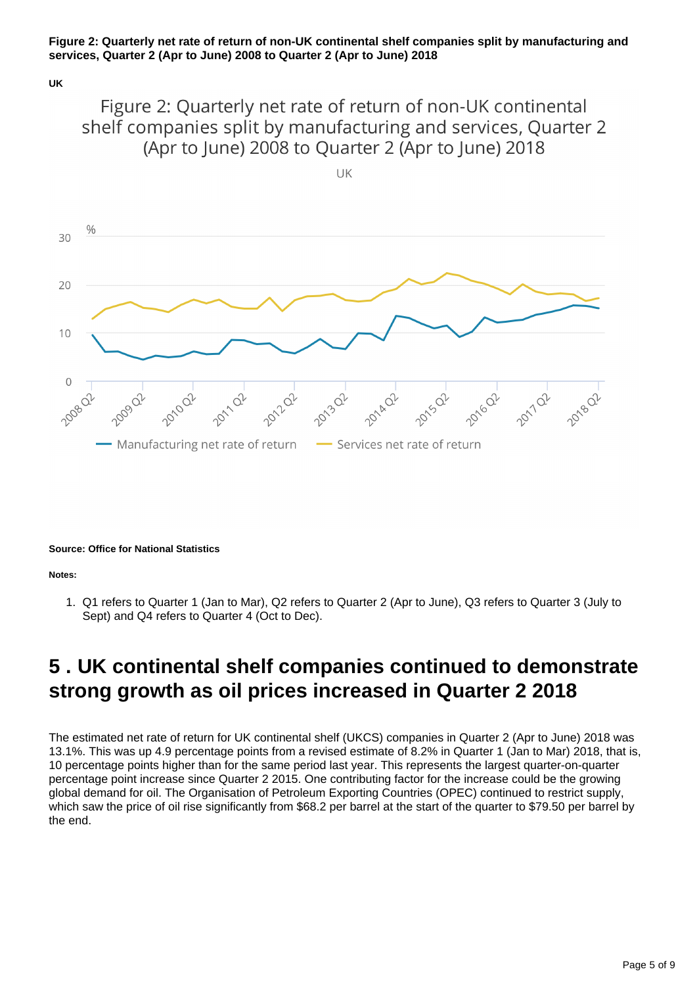#### **Figure 2: Quarterly net rate of return of non-UK continental shelf companies split by manufacturing and services, Quarter 2 (Apr to June) 2008 to Quarter 2 (Apr to June) 2018**

**UK**

Figure 2: Quarterly net rate of return of non-UK continental shelf companies split by manufacturing and services, Quarter 2 (Apr to June) 2008 to Quarter 2 (Apr to June) 2018



**Source: Office for National Statistics**

**Notes:**

1. Q1 refers to Quarter 1 (Jan to Mar), Q2 refers to Quarter 2 (Apr to June), Q3 refers to Quarter 3 (July to Sept) and Q4 refers to Quarter 4 (Oct to Dec).

## <span id="page-4-0"></span>**5 . UK continental shelf companies continued to demonstrate strong growth as oil prices increased in Quarter 2 2018**

The estimated net rate of return for UK continental shelf (UKCS) companies in Quarter 2 (Apr to June) 2018 was 13.1%. This was up 4.9 percentage points from a revised estimate of 8.2% in Quarter 1 (Jan to Mar) 2018, that is, 10 percentage points higher than for the same period last year. This represents the largest quarter-on-quarter percentage point increase since Quarter 2 2015. One contributing factor for the increase could be the growing global demand for oil. The Organisation of Petroleum Exporting Countries (OPEC) continued to restrict supply, which saw the price of oil rise significantly from \$68.2 per barrel at the start of the quarter to \$79.50 per barrel by the end.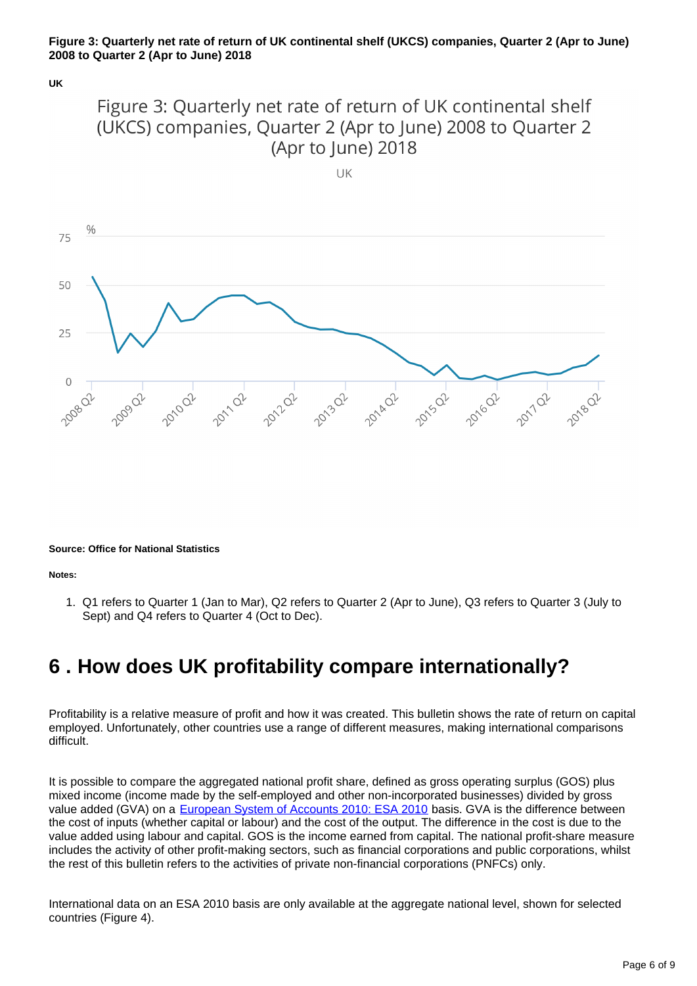#### **Figure 3: Quarterly net rate of return of UK continental shelf (UKCS) companies, Quarter 2 (Apr to June) 2008 to Quarter 2 (Apr to June) 2018**

**UK**



UK



**Source: Office for National Statistics**

**Notes:**

1. Q1 refers to Quarter 1 (Jan to Mar), Q2 refers to Quarter 2 (Apr to June), Q3 refers to Quarter 3 (July to Sept) and Q4 refers to Quarter 4 (Oct to Dec).

## <span id="page-5-0"></span>**6 . How does UK profitability compare internationally?**

Profitability is a relative measure of profit and how it was created. This bulletin shows the rate of return on capital employed. Unfortunately, other countries use a range of different measures, making international comparisons difficult.

It is possible to compare the aggregated national profit share, defined as gross operating surplus (GOS) plus mixed income (income made by the self-employed and other non-incorporated businesses) divided by gross value added (GVA) on a [European System of Accounts 2010: ESA 2010](http://ec.europa.eu/eurostat/documents/3859598/5925693/KS-02-13-269-EN.PDF/44cd9d01-bc64-40e5-bd40-d17df0c69334) basis. GVA is the difference between the cost of inputs (whether capital or labour) and the cost of the output. The difference in the cost is due to the value added using labour and capital. GOS is the income earned from capital. The national profit-share measure includes the activity of other profit-making sectors, such as financial corporations and public corporations, whilst the rest of this bulletin refers to the activities of private non-financial corporations (PNFCs) only.

International data on an ESA 2010 basis are only available at the aggregate national level, shown for selected countries (Figure 4).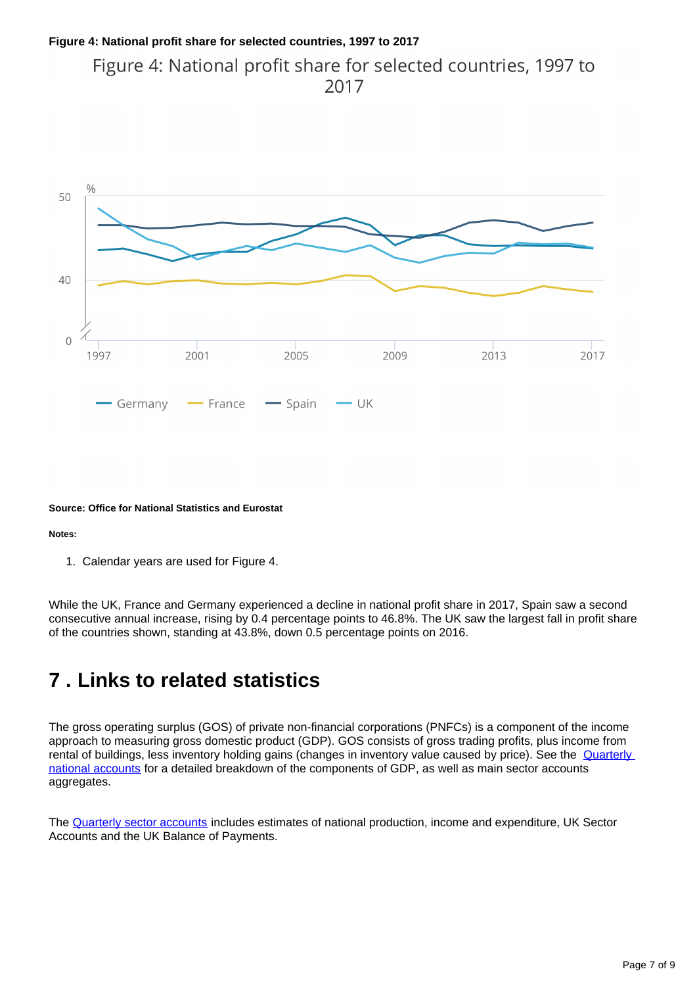#### **Figure 4: National profit share for selected countries, 1997 to 2017** Figure 4: National profit share for selected countries, 1997 to

```
2017
```


#### **Source: Office for National Statistics and Eurostat**

**Notes:**

1. Calendar years are used for Figure 4.

While the UK, France and Germany experienced a decline in national profit share in 2017, Spain saw a second consecutive annual increase, rising by 0.4 percentage points to 46.8%. The UK saw the largest fall in profit share of the countries shown, standing at 43.8%, down 0.5 percentage points on 2016.

## <span id="page-6-0"></span>**7 . Links to related statistics**

The gross operating surplus (GOS) of private non-financial corporations (PNFCs) is a component of the income approach to measuring gross domestic product (GDP). GOS consists of gross trading profits, plus income from rental of buildings, less inventory holding gains (changes in inventory value caused by price). See the **Quarterly** [national accounts](https://www.ons.gov.uk/economy/grossdomesticproductgdp/bulletins/quarterlynationalaccounts/aprtojun2017) for a detailed breakdown of the components of GDP, as well as main sector accounts aggregates.

The [Quarterly sector accounts](https://www.ons.gov.uk/economy/nationalaccounts/uksectoraccounts/bulletins/quarterlysectoraccounts/januarytomarch2018) includes estimates of national production, income and expenditure, UK Sector Accounts and the UK Balance of Payments.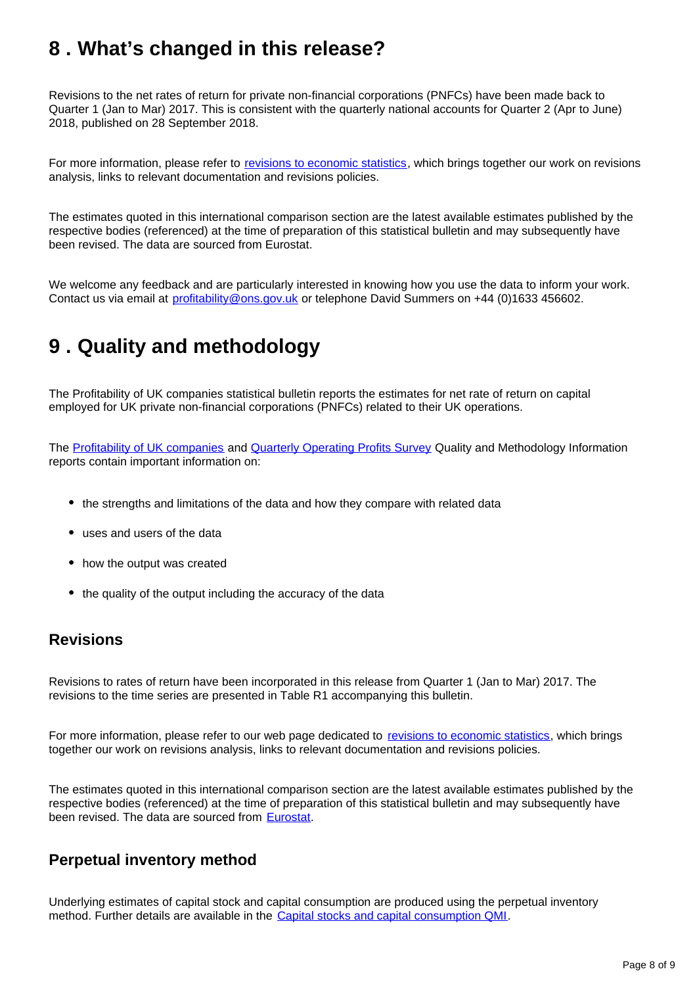## <span id="page-7-0"></span>**8 . What's changed in this release?**

Revisions to the net rates of return for private non-financial corporations (PNFCs) have been made back to Quarter 1 (Jan to Mar) 2017. This is consistent with the quarterly national accounts for Quarter 2 (Apr to June) 2018, published on 28 September 2018.

For more information, please refer to [revisions to economic statistics](http://www.ons.gov.uk/methodology/methodologytopicsandstatisticalconcepts/revisions/revisionspoliciesforeconomicstatistics), which brings together our work on revisions analysis, links to relevant documentation and revisions policies.

The estimates quoted in this international comparison section are the latest available estimates published by the respective bodies (referenced) at the time of preparation of this statistical bulletin and may subsequently have been revised. The data are sourced from Eurostat.

We welcome any feedback and are particularly interested in knowing how you use the data to inform your work. Contact us via email at profitability@ons.gov.uk or telephone David Summers on +44 (0)1633 456602.

## <span id="page-7-1"></span>**9 . Quality and methodology**

The Profitability of UK companies statistical bulletin reports the estimates for net rate of return on capital employed for UK private non-financial corporations (PNFCs) related to their UK operations.

The [Profitability of UK companies](https://www.ons.gov.uk/economy/nationalaccounts/uksectoraccounts/methodologies/profitabilityofukcompaniesqmi) and [Quarterly Operating Profits Survey](https://www.ons.gov.uk/economy/nationalaccounts/uksectoraccounts/qmis/quarterlyoperatingprofitssurvey) Quality and Methodology Information reports contain important information on:

- the strengths and limitations of the data and how they compare with related data
- uses and users of the data
- how the output was created
- the quality of the output including the accuracy of the data

#### **Revisions**

Revisions to rates of return have been incorporated in this release from Quarter 1 (Jan to Mar) 2017. The revisions to the time series are presented in Table R1 accompanying this bulletin.

For more information, please refer to our web page dedicated to [revisions to economic statistics](https://www.ons.gov.uk/methodology/methodologytopicsandstatisticalconcepts/revisions/revisionspoliciesforeconomicstatistics), which brings together our work on revisions analysis, links to relevant documentation and revisions policies.

The estimates quoted in this international comparison section are the latest available estimates published by the respective bodies (referenced) at the time of preparation of this statistical bulletin and may subsequently have been revised. The data are sourced from [Eurostat](http://ec.europa.eu/eurostat/data/database).

#### **Perpetual inventory method**

Underlying estimates of capital stock and capital consumption are produced using the perpetual inventory method. Further details are available in the [Capital stocks and capital consumption QMI.](https://www.ons.gov.uk/economy/nationalaccounts/uksectoraccounts/methodologies/capitalstocksandcapitalconsumptionqmi)